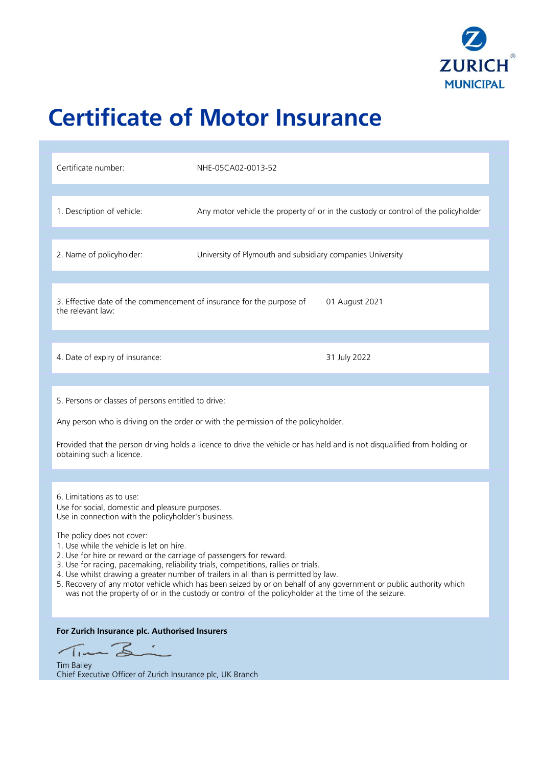

# **Certificate of Motor Insurance**

| Certificate number:                                                                                                                                                                                                                                                                                                                                                                                                                                                                                                                                                                                                                                                                              | NHE-05CA02-0013-52                                                                 |
|--------------------------------------------------------------------------------------------------------------------------------------------------------------------------------------------------------------------------------------------------------------------------------------------------------------------------------------------------------------------------------------------------------------------------------------------------------------------------------------------------------------------------------------------------------------------------------------------------------------------------------------------------------------------------------------------------|------------------------------------------------------------------------------------|
| 1. Description of vehicle:                                                                                                                                                                                                                                                                                                                                                                                                                                                                                                                                                                                                                                                                       | Any motor vehicle the property of or in the custody or control of the policyholder |
| 2. Name of policyholder:                                                                                                                                                                                                                                                                                                                                                                                                                                                                                                                                                                                                                                                                         | University of Plymouth and subsidiary companies University                         |
| 3. Effective date of the commencement of insurance for the purpose of<br>01 August 2021<br>the relevant law:                                                                                                                                                                                                                                                                                                                                                                                                                                                                                                                                                                                     |                                                                                    |
| 4. Date of expiry of insurance:                                                                                                                                                                                                                                                                                                                                                                                                                                                                                                                                                                                                                                                                  | 31 July 2022                                                                       |
| 5. Persons or classes of persons entitled to drive:<br>Any person who is driving on the order or with the permission of the policyholder.<br>Provided that the person driving holds a licence to drive the vehicle or has held and is not disqualified from holding or<br>obtaining such a licence.                                                                                                                                                                                                                                                                                                                                                                                              |                                                                                    |
| 6. Limitations as to use:<br>Use for social, domestic and pleasure purposes.<br>Use in connection with the policyholder's business.<br>The policy does not cover:<br>1. Use while the vehicle is let on hire.<br>2. Use for hire or reward or the carriage of passengers for reward.<br>3. Use for racing, pacemaking, reliability trials, competitions, rallies or trials.<br>4. Use whilst drawing a greater number of trailers in all than is permitted by law.<br>5. Recovery of any motor vehicle which has been seized by or on behalf of any government or public authority which<br>was not the property of or in the custody or control of the policyholder at the time of the seizure. |                                                                                    |
| For Zurich Insurance plc. Authorised Insurers<br>Time Li<br><b>Tim Bailey</b><br>Chief Executive Officer of Zurich Insurance plc, UK Branch                                                                                                                                                                                                                                                                                                                                                                                                                                                                                                                                                      |                                                                                    |